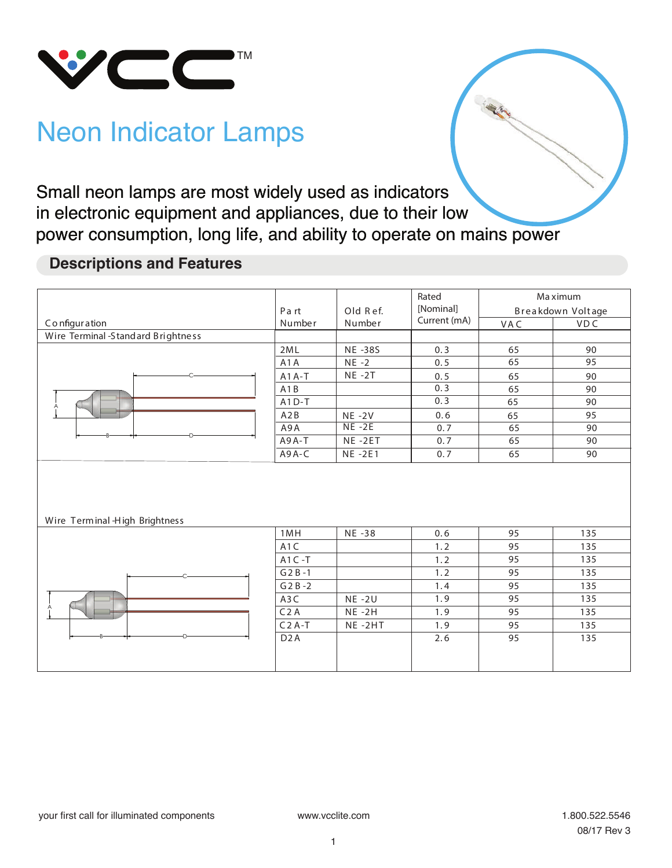

# Neon Indicator Lamps

Small neon lamps are most widely used as indicators Small neon in electronic equipment and appliances, due to their low power consumption, long life, and ability to operate on mains power

### **Descriptions and Features**

|                                    | Part             | Old Ref.<br>Number | Rated<br>[Nominal]<br>Current (mA) | Ma ximum<br>Breakdown Voltage |            |
|------------------------------------|------------------|--------------------|------------------------------------|-------------------------------|------------|
| Configuration                      | Number           |                    |                                    | VAC                           | <b>VDC</b> |
| Wire Terminal -Standard Brightness |                  |                    |                                    |                               |            |
|                                    | 2ML              | <b>NE-38S</b>      | 0.3                                | 65                            | 90         |
|                                    | A1A              | $NE -2$            | 0.5                                | 65                            | 95         |
|                                    | $A1A-T$          | $NE -2T$           | 0.5                                | 65                            | 90         |
|                                    | A1B              |                    | 0.3                                | 65                            | 90         |
|                                    | $A1D-T$          |                    | 0.3                                | 65                            | 90         |
|                                    | A2B              | $NE - 2V$          | 0.6                                | 65                            | 95         |
|                                    | A9A              | $NE - 2E$          | 0.7                                | 65                            | 90         |
|                                    | A9A-T            | NE-2ET             | 0.7                                | 65                            | 90         |
|                                    | A9A-C            | NE-2E1             | 0.7                                | 65                            | 90         |
| Wire Terminal High Brightness      |                  |                    |                                    |                               |            |
|                                    | 1MH              | NE -38             | 0.6                                | 95                            | 135        |
|                                    | A <sub>1</sub> C |                    | 1.2                                | 95                            | 135        |
|                                    | $A1C - T$        |                    | 1.2                                | 95                            | 135        |
|                                    | $G2B-1$          |                    | 1.2                                | 95                            | 135        |
|                                    | $G2B-2$          |                    | 1.4                                | 95                            | 135        |
|                                    | A3C              | $NE - 2U$          | 1.9                                | 95                            | 135        |
|                                    | C <sub>2</sub> A | $NE -2H$           | 1.9                                | 95                            | 135        |
|                                    | $C2A-T$          | NE-2HT             | 1.9                                | 95                            | 135        |
|                                    | D <sub>2</sub> A |                    | 2.6                                | 95                            | 135        |
|                                    |                  |                    |                                    |                               |            |